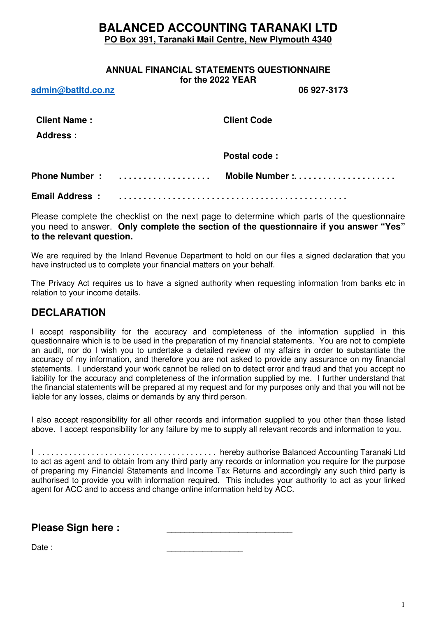# **BALANCED ACCOUNTING TARANAKI LTD PO Box 391, Taranaki Mail Centre, New Plymouth 4340**

# **ANNUAL FINANCIAL STATEMENTS QUESTIONNAIRE for the 2022 YEAR**

**admin@batltd.co.nz 06 927-3173** 

| <u>auning patrumponia</u>              |               | ,,,,,,,,,,,        |
|----------------------------------------|---------------|--------------------|
| <b>Client Name:</b><br><b>Address:</b> |               | <b>Client Code</b> |
|                                        |               | Postal code:       |
|                                        | Phone Number: | Mobile Number :    |
| <b>Email Address:</b>                  |               |                    |

Please complete the checklist on the next page to determine which parts of the questionnaire you need to answer. **Only complete the section of the questionnaire if you answer "Yes" to the relevant question.**

We are required by the Inland Revenue Department to hold on our files a signed declaration that you have instructed us to complete your financial matters on your behalf.

The Privacy Act requires us to have a signed authority when requesting information from banks etc in relation to your income details.

# **DECLARATION**

I accept responsibility for the accuracy and completeness of the information supplied in this questionnaire which is to be used in the preparation of my financial statements. You are not to complete an audit, nor do I wish you to undertake a detailed review of my affairs in order to substantiate the accuracy of my information, and therefore you are not asked to provide any assurance on my financial statements. I understand your work cannot be relied on to detect error and fraud and that you accept no liability for the accuracy and completeness of the information supplied by me. I further understand that the financial statements will be prepared at my request and for my purposes only and that you will not be liable for any losses, claims or demands by any third person.

I also accept responsibility for all other records and information supplied to you other than those listed above. I accept responsibility for any failure by me to supply all relevant records and information to you.

I . . . . . . . . . . . . . . . . . . . . . . . . . . . . . . . . . . . . . . . . hereby authorise Balanced Accounting Taranaki Ltd to act as agent and to obtain from any third party any records or information you require for the purpose of preparing my Financial Statements and Income Tax Returns and accordingly any such third party is authorised to provide you with information required. This includes your authority to act as your linked agent for ACC and to access and change online information held by ACC.

**Please Sign here :** 

Date : \_\_\_\_\_\_\_\_\_\_\_\_\_\_\_\_\_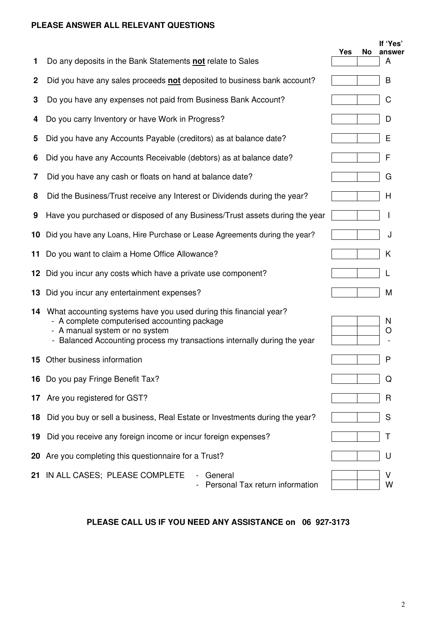# **PLEASE ANSWER ALL RELEVANT QUESTIONS**

|             |                                                                                                                                                                                                                                    |     |    | If 'Yes'    |
|-------------|------------------------------------------------------------------------------------------------------------------------------------------------------------------------------------------------------------------------------------|-----|----|-------------|
| 1           | Do any deposits in the Bank Statements not relate to Sales                                                                                                                                                                         | Yes | No | answer<br>A |
| $\mathbf 2$ | Did you have any sales proceeds not deposited to business bank account?                                                                                                                                                            |     |    | B           |
| 3           | Do you have any expenses not paid from Business Bank Account?                                                                                                                                                                      |     |    | C           |
| 4           | Do you carry Inventory or have Work in Progress?                                                                                                                                                                                   |     |    | D           |
| 5           | Did you have any Accounts Payable (creditors) as at balance date?                                                                                                                                                                  |     |    | Е           |
| 6           | Did you have any Accounts Receivable (debtors) as at balance date?                                                                                                                                                                 |     |    | F           |
| 7           | Did you have any cash or floats on hand at balance date?                                                                                                                                                                           |     |    | G           |
| 8           | Did the Business/Trust receive any Interest or Dividends during the year?                                                                                                                                                          |     |    | H           |
| 9           | Have you purchased or disposed of any Business/Trust assets during the year                                                                                                                                                        |     |    |             |
| 10          | Did you have any Loans, Hire Purchase or Lease Agreements during the year?                                                                                                                                                         |     |    | J           |
| 11          | Do you want to claim a Home Office Allowance?                                                                                                                                                                                      |     |    | Κ           |
|             | 12 Did you incur any costs which have a private use component?                                                                                                                                                                     |     |    | L           |
| 13          | Did you incur any entertainment expenses?                                                                                                                                                                                          |     |    | M           |
|             | 14 What accounting systems have you used during this financial year?<br>- A complete computerised accounting package<br>- A manual system or no system<br>- Balanced Accounting process my transactions internally during the year |     |    | N<br>O      |
|             | <b>15</b> Other business information                                                                                                                                                                                               |     |    | P           |
| 16          | Do you pay Fringe Benefit Tax?                                                                                                                                                                                                     |     |    | Q           |
| 17          | Are you registered for GST?                                                                                                                                                                                                        |     |    | R           |
| 18          | Did you buy or sell a business, Real Estate or Investments during the year?                                                                                                                                                        |     |    | S           |
| 19          | Did you receive any foreign income or incur foreign expenses?                                                                                                                                                                      |     |    | T           |
| 20          | Are you completing this questionnaire for a Trust?                                                                                                                                                                                 |     |    | U           |
| 21          | IN ALL CASES; PLEASE COMPLETE<br>General<br>Personal Tax return information                                                                                                                                                        |     |    | v<br>W      |

# **PLEASE CALL US IF YOU NEED ANY ASSISTANCE on 06 927-3173**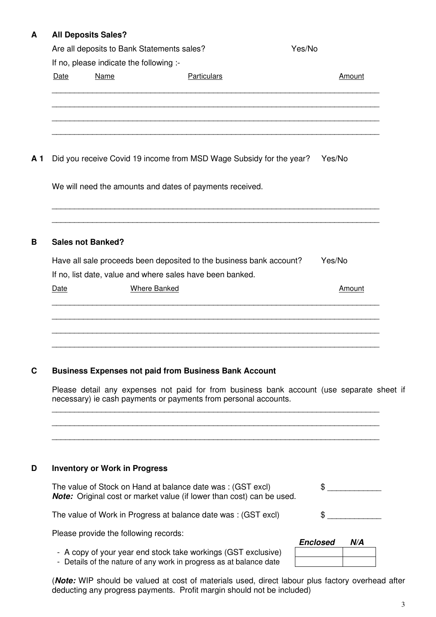# **A All Deposits Sales?**

|      | Are all deposits to Bank Statements sales?             | Yes/No                                                                                                                           |        |
|------|--------------------------------------------------------|----------------------------------------------------------------------------------------------------------------------------------|--------|
| Date | If no, please indicate the following :-<br><b>Name</b> | <b>Particulars</b>                                                                                                               | Amount |
|      |                                                        |                                                                                                                                  |        |
|      |                                                        |                                                                                                                                  |        |
|      |                                                        | Did you receive Covid 19 income from MSD Wage Subsidy for the year?                                                              | Yes/No |
|      |                                                        | We will need the amounts and dates of payments received.                                                                         |        |
|      | <b>Sales not Banked?</b>                               |                                                                                                                                  |        |
|      |                                                        | Have all sale proceeds been deposited to the business bank account?<br>If no, list date, value and where sales have been banked. | Yes/No |
|      |                                                        |                                                                                                                                  |        |

Please detail any expenses not paid for from business bank account (use separate sheet if necessary) ie cash payments or payments from personal accounts.

 \_\_\_\_\_\_\_\_\_\_\_\_\_\_\_\_\_\_\_\_\_\_\_\_\_\_\_\_\_\_\_\_\_\_\_\_\_\_\_\_\_\_\_\_\_\_\_\_\_\_\_\_\_\_\_\_\_\_\_\_\_\_\_\_\_\_\_\_\_\_\_\_\_ \_\_\_\_\_\_\_\_\_\_\_\_\_\_\_\_\_\_\_\_\_\_\_\_\_\_\_\_\_\_\_\_\_\_\_\_\_\_\_\_\_\_\_\_\_\_\_\_\_\_\_\_\_\_\_\_\_\_\_\_\_\_\_\_\_\_\_\_\_\_\_\_\_ \_\_\_\_\_\_\_\_\_\_\_\_\_\_\_\_\_\_\_\_\_\_\_\_\_\_\_\_\_\_\_\_\_\_\_\_\_\_\_\_\_\_\_\_\_\_\_\_\_\_\_\_\_\_\_\_\_\_\_\_\_\_\_\_\_\_\_\_\_\_\_\_\_

|  | D | <b>Inventory or Work in Progress</b> |  |  |
|--|---|--------------------------------------|--|--|
|--|---|--------------------------------------|--|--|

| The value of Stock on Hand at balance date was: (GST excl)<br>Note: Original cost or market value (if lower than cost) can be used. |                 |     |
|-------------------------------------------------------------------------------------------------------------------------------------|-----------------|-----|
| The value of Work in Progress at balance date was: (GST excl)                                                                       |                 |     |
| Please provide the following records:                                                                                               | <b>Enclosed</b> | N/A |
| - A copy of your year end stock take workings (GST exclusive)<br>- Details of the nature of any work in progress as at balance date |                 |     |

(**Note:** WIP should be valued at cost of materials used, direct labour plus factory overhead after deducting any progress payments. Profit margin should not be included)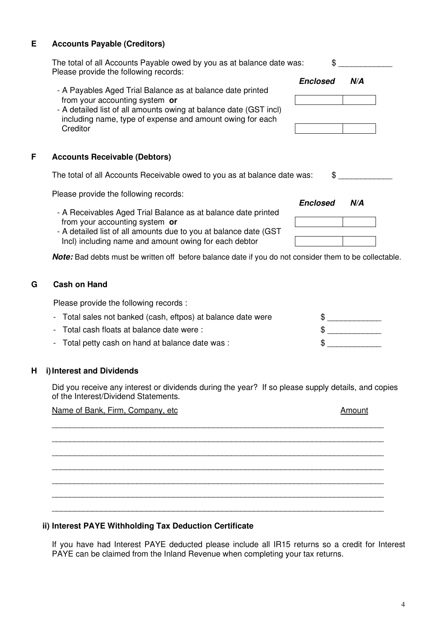# **E Accounts Payable (Creditors)**

- A Payables Aged Trial Balance as at balance date printed from your accounting system **or**
- A detailed list of all amounts owing at balance date (GST in including name, type of expense and amount owing for each **Creditor**

## **F Accounts Receivable (Debtors)**

The total of all Accounts Receivable owed to you as at baland

Please provide the following records:

- **Enclosed N/A** - A Receivables Aged Trial Balance as at balance date printed from your accounting system **or**
	- A detailed list of all amounts due to you at balance date (GST Incl) including name and amount owing for each debtor

**Note:** Bad debts must be written off before balance date if you do not consider them to be collectable.

# **G Cash on Hand**

Please provide the following records :

| - Total sales not banked (cash, eftpos) at balance date were |  |
|--------------------------------------------------------------|--|
| - Total cash floats at balance date were :                   |  |
| - Total petty cash on hand at balance date was :             |  |

#### **H i) Interest and Dividends**

 Did you receive any interest or dividends during the year? If so please supply details, and copies of the Interest/Dividend Statements.

Name of Bank, Firm, Company, etc Amount

\_\_\_\_\_\_\_\_\_\_\_\_\_\_\_\_\_\_\_\_\_\_\_\_\_\_\_\_\_\_\_\_\_\_\_\_\_\_\_\_\_\_\_\_\_\_\_\_\_\_\_\_\_\_\_\_\_\_\_\_\_\_\_\_\_\_\_\_\_\_\_\_\_\_

 \_\_\_\_\_\_\_\_\_\_\_\_\_\_\_\_\_\_\_\_\_\_\_\_\_\_\_\_\_\_\_\_\_\_\_\_\_\_\_\_\_\_\_\_\_\_\_\_\_\_\_\_\_\_\_\_\_\_\_\_\_\_\_\_\_\_\_\_\_\_\_\_\_\_ \_\_\_\_\_\_\_\_\_\_\_\_\_\_\_\_\_\_\_\_\_\_\_\_\_\_\_\_\_\_\_\_\_\_\_\_\_\_\_\_\_\_\_\_\_\_\_\_\_\_\_\_\_\_\_\_\_\_\_\_\_\_\_\_\_\_\_\_\_\_\_\_\_\_ \_\_\_\_\_\_\_\_\_\_\_\_\_\_\_\_\_\_\_\_\_\_\_\_\_\_\_\_\_\_\_\_\_\_\_\_\_\_\_\_\_\_\_\_\_\_\_\_\_\_\_\_\_\_\_\_\_\_\_\_\_\_\_\_\_\_\_\_\_\_\_\_\_\_ \_\_\_\_\_\_\_\_\_\_\_\_\_\_\_\_\_\_\_\_\_\_\_\_\_\_\_\_\_\_\_\_\_\_\_\_\_\_\_\_\_\_\_\_\_\_\_\_\_\_\_\_\_\_\_\_\_\_\_\_\_\_\_\_\_\_\_\_\_\_\_\_\_\_ \_\_\_\_\_\_\_\_\_\_\_\_\_\_\_\_\_\_\_\_\_\_\_\_\_\_\_\_\_\_\_\_\_\_\_\_\_\_\_\_\_\_\_\_\_\_\_\_\_\_\_\_\_\_\_\_\_\_\_\_\_\_\_\_\_\_\_\_\_\_\_\_\_\_

\_\_\_\_\_\_\_\_\_\_\_\_\_\_\_\_\_\_\_\_\_\_\_\_\_\_\_\_\_\_\_\_\_\_\_\_\_\_\_\_\_\_\_\_\_\_\_\_\_\_\_\_\_\_\_\_\_\_\_\_\_\_\_\_\_\_\_\_\_\_\_\_\_\_

# **ii) Interest PAYE Withholding Tax Deduction Certificate**

If you have had Interest PAYE deducted please include all IR15 returns so a credit for Interest PAYE can be claimed from the Inland Revenue when completing your tax returns.

|   | The total of all Accounts Payable owed by you as at balance date was:                                                                                                                                                                                                               | \$                     |
|---|-------------------------------------------------------------------------------------------------------------------------------------------------------------------------------------------------------------------------------------------------------------------------------------|------------------------|
|   | Please provide the following records:<br>- A Payables Aged Trial Balance as at balance date printed<br>from your accounting system or<br>- A detailed list of all amounts owing at balance date (GST incl)<br>including name, type of expense and amount owing for each<br>Creditor | <b>Enclosed</b><br>N/A |
| F | <b>Accounts Receivable (Debtors)</b>                                                                                                                                                                                                                                                |                        |
|   | The total of all Accounts Receivable owed to you as at balance date was:                                                                                                                                                                                                            |                        |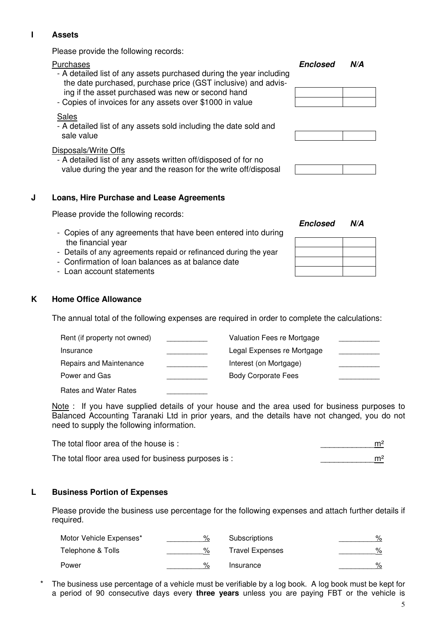# **I Assets**

Please provide the following records:

- A detailed list of any assets purchased during the year including the date purchased, purchase price (GST inclusive) and advis ing if the asset purchased was new or second hand
- Copies of invoices for any assets over \$1000 in value

### Sales

- A detailed list of any assets sold including the date sold and sale value

## Disposals/Write Offs

- A detailed list of any assets written off/disposed of for no value during the year and the reason for the write off/disposal

# **J Loans, Hire Purchase and Lease Agreements**

Please provide the following records:

- Copies of any agreements that have been entered into during the financial year
- Details of any agreements repaid or refinanced during the year
- Confirmation of loan balances as at balance date
- Loan account statements

### **K Home Office Allowance**

The annual total of the following expenses are required in order to complete the calculations:

| Rent (if property not owned) | Valuation Fees re Mortgage |  |
|------------------------------|----------------------------|--|
| Insurance                    | Legal Expenses re Mortgage |  |
| Repairs and Maintenance      | Interest (on Mortgage)     |  |
| Power and Gas                | <b>Body Corporate Fees</b> |  |
| Rates and Water Rates        |                            |  |

Note : If you have supplied details of your house and the area used for business purposes to Balanced Accounting Taranaki Ltd in prior years, and the details have not changed, you do not need to supply the following information.

| The total floor area of the house is:                | m <sup>2</sup> |
|------------------------------------------------------|----------------|
| The total floor area used for business purposes is : | m <sup>2</sup> |

#### **L Business Portion of Expenses**

Please provide the business use percentage for the following expenses and attach further details if required.

| Motor Vehicle Expenses* | %             | Subscriptions          | $\%$ |
|-------------------------|---------------|------------------------|------|
| Telephone & Tolls       | %             | <b>Travel Expenses</b> | $\%$ |
| Power                   | $\frac{1}{2}$ | Insurance              | %    |

The business use percentage of a vehicle must be verifiable by a log book. A log book must be kept for a period of 90 consecutive days every **three years** unless you are paying FBT or the vehicle is

Purchases **Enclosed N/A**





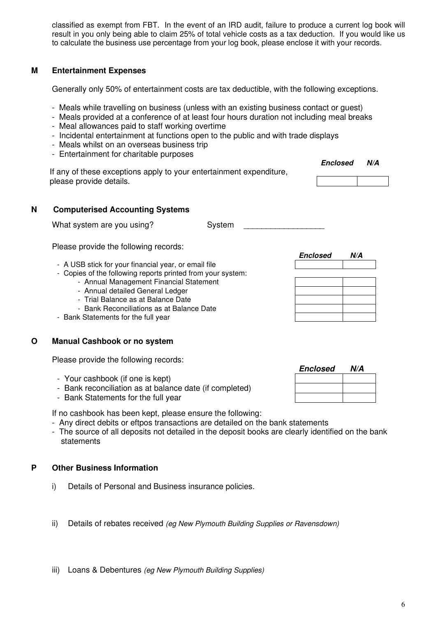classified as exempt from FBT. In the event of an IRD audit, failure to produce a current log book will result in you only being able to claim 25% of total vehicle costs as a tax deduction. If you would like us to calculate the business use percentage from your log book, please enclose it with your records.

# **M Entertainment Expenses**

Generally only 50% of entertainment costs are tax deductible, with the following exceptions.

- Meals while travelling on business (unless with an existing business contact or guest)
- Meals provided at a conference of at least four hours duration not including meal breaks
- Meal allowances paid to staff working overtime
- Incidental entertainment at functions open to the public and with trade displays
- Meals whilst on an overseas business trip
- Entertainment for charitable purposes

| If any of these exceptions apply to your entertainment expenditure, | <b>Enclosed</b> | N/A |
|---------------------------------------------------------------------|-----------------|-----|
| please provide details.                                             |                 |     |

# **N Computerised Accounting Systems**

| What system are you using? | System |  |
|----------------------------|--------|--|
|                            |        |  |

Please provide the following records:

- **Enclosed N/A** - A USB stick for your financial year, or email file
	- Copies of the following reports printed from your system:
		- Annual Management Financial Statement
		- Annual detailed General Ledger
		- Trial Balance as at Balance Date
		- Bank Reconciliations as at Balance Date
	- Bank Statements for the full year

#### **O Manual Cashbook or no system**

Please provide the following records:

- Your cashbook (if one is kept)
- Bank reconciliation as at balance date (if completed)
- Bank Statements for the full year

If no cashbook has been kept, please ensure the following:

- Any direct debits or eftpos transactions are detailed on the bank statements
- The source of all deposits not detailed in the deposit books are clearly identified on the bank statements

# **P Other Business Information**

- i) Details of Personal and Business insurance policies.
- ii) Details of rebates received (eg New Plymouth Building Supplies or Ravensdown)
- iii) Loans & Debentures (eg New Plymouth Building Supplies)

|                                                         | <b>Enclosed</b> | N/A |
|---------------------------------------------------------|-----------------|-----|
| - Your cashbook (if one is kept)                        |                 |     |
| - Bank reconciliation as at balance date (if completed) |                 |     |
| - Rank Statements for the full year                     |                 |     |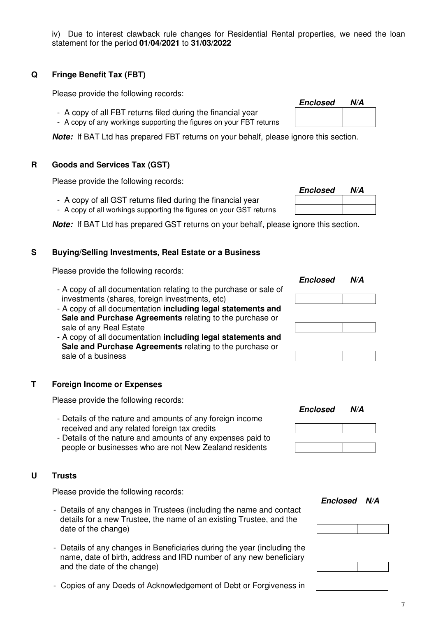iv) Due to interest clawback rule changes for Residential Rental properties, we need the loan statement for the period **01/04/2021** to **31/03/2022**

# **Q Fringe Benefit Tax (FBT)**

Please provide the following records:

- A copy of all FBT returns filed during the financial year
- A copy of any workings supporting the figures on your FBT returns

**Note:** If BAT Ltd has prepared FBT returns on your behalf, please ignore this section.

### **R Goods and Services Tax (GST)**

 Please provide the following records: **Enclosed N/A**

- A copy of all GST returns filed during the financial year
- A copy of all workings supporting the figures on your GST returns

**Note:** If BAT Ltd has prepared GST returns on your behalf, please ignore this section.

# **S Buying/Selling Investments, Real Estate or a Business**

 Please provide the following records: **Enclosed N/A**

- A copy of all documentation relating to the purchase or sale of investments (shares, foreign investments, etc)
- A copy of all documentation **including legal statements and Sale and Purchase Agreements** relating to the purchase or sale of any Real Estate
- A copy of all documentation **including legal statements and Sale and Purchase Agreements** relating to the purchase or sale of a business

# **T Foreign Income or Expenses**

Please provide the following records:

- Details of the nature and amounts of any foreign income received and any related foreign tax credits
- Details of the nature and amounts of any expenses paid to people or businesses who are not New Zealand residents

#### **U Trusts**

Please provide the following records:

- Details of any changes in Trustees (including the name and contact details for a new Trustee, the name of an existing Trustee, and the date of the change)
- Details of any changes in Beneficiaries during the year (including the name, date of birth, address and IRD number of any new beneficiary and the date of the change)
- 

|                                                                     | <b>Enclosed</b> | N/A |
|---------------------------------------------------------------------|-----------------|-----|
| - A copy of all FBT returns filed during the financial year         |                 |     |
| - A copy of any workings supporting the figures on your FBT returns |                 |     |



**Enclosed N/A**

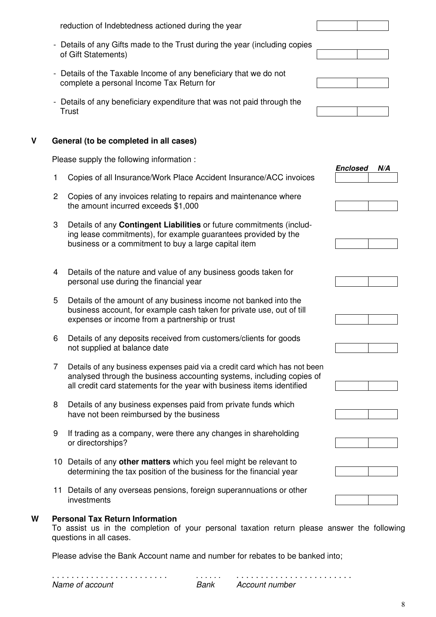| W |                | <b>Personal Tax Return Information</b>                                                                                                                                                                                        |                        |
|---|----------------|-------------------------------------------------------------------------------------------------------------------------------------------------------------------------------------------------------------------------------|------------------------|
|   |                | 11 Details of any overseas pensions, foreign superannuations or other<br>investments                                                                                                                                          |                        |
|   |                | 10 Details of any other matters which you feel might be relevant to<br>determining the tax position of the business for the financial year                                                                                    |                        |
|   | 9              | If trading as a company, were there any changes in shareholding<br>or directorships?                                                                                                                                          |                        |
|   | 8              | Details of any business expenses paid from private funds which<br>have not been reimbursed by the business                                                                                                                    |                        |
|   | 7              | Details of any business expenses paid via a credit card which has not been<br>analysed through the business accounting systems, including copies of<br>all credit card statements for the year with business items identified |                        |
|   | 6              | Details of any deposits received from customers/clients for goods<br>not supplied at balance date                                                                                                                             |                        |
|   | 5              | Details of the amount of any business income not banked into the<br>business account, for example cash taken for private use, out of till<br>expenses or income from a partnership or trust                                   |                        |
|   | 4              | Details of the nature and value of any business goods taken for<br>personal use during the financial year                                                                                                                     |                        |
|   | 3              | Details of any <b>Contingent Liabilities</b> or future commitments (includ-<br>ing lease commitments), for example guarantees provided by the<br>business or a commitment to buy a large capital item                         |                        |
|   | $\overline{2}$ | Copies of any invoices relating to repairs and maintenance where<br>the amount incurred exceeds \$1,000                                                                                                                       |                        |
|   | 1.             | Copies of all Insurance/Work Place Accident Insurance/ACC invoices                                                                                                                                                            | <b>Enclosed</b><br>N/A |
|   |                | Please supply the following information :                                                                                                                                                                                     |                        |
| V |                | General (to be completed in all cases)                                                                                                                                                                                        |                        |
|   |                | - Details of any beneficiary expenditure that was not paid through the<br><b>Trust</b>                                                                                                                                        |                        |
|   |                | - Details of the Taxable Income of any beneficiary that we do not<br>complete a personal Income Tax Return for                                                                                                                |                        |
|   |                | - Details of any Gifts made to the Trust during the year (including copies<br>of Gift Statements)                                                                                                                             |                        |
|   |                | reduction of Indebtedness actioned during the year                                                                                                                                                                            |                        |

To assist us in the completion of your personal taxation return please answer the following questions in all cases.

Please advise the Bank Account name and number for rebates to be banked into;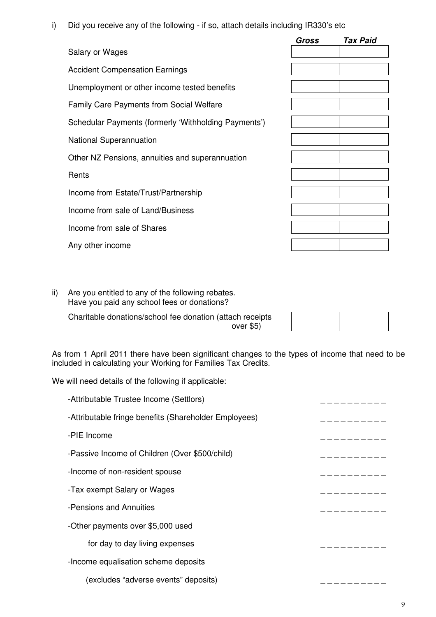i) Did you receive any of the following - if so, attach details including IR330's etc

|                                                      | <b>Gross</b> | <b>Tax Paid</b> |
|------------------------------------------------------|--------------|-----------------|
| Salary or Wages                                      |              |                 |
| <b>Accident Compensation Earnings</b>                |              |                 |
| Unemployment or other income tested benefits         |              |                 |
| <b>Family Care Payments from Social Welfare</b>      |              |                 |
| Schedular Payments (formerly 'Withholding Payments') |              |                 |
| <b>National Superannuation</b>                       |              |                 |
| Other NZ Pensions, annuities and superannuation      |              |                 |
| Rents                                                |              |                 |
| Income from Estate/Trust/Partnership                 |              |                 |
| Income from sale of Land/Business                    |              |                 |
| Income from sale of Shares                           |              |                 |
| Any other income                                     |              |                 |

ii) Are you entitled to any of the following rebates. Have you paid any school fees or donations?

Charitable donations/school fee donation (attach receipts over \$5)

As from 1 April 2011 there have been significant changes to the types of income that need to be included in calculating your Working for Families Tax Credits.

We will need details of the following if applicable:

| -Attributable Trustee Income (Settlors)               |  |
|-------------------------------------------------------|--|
| -Attributable fringe benefits (Shareholder Employees) |  |
| -PIE Income                                           |  |
| -Passive Income of Children (Over \$500/child)        |  |
| -Income of non-resident spouse                        |  |
| -Tax exempt Salary or Wages                           |  |
| -Pensions and Annuities                               |  |
| -Other payments over \$5,000 used                     |  |
| for day to day living expenses                        |  |
| -Income equalisation scheme deposits                  |  |
| (excludes "adverse events" deposits)                  |  |